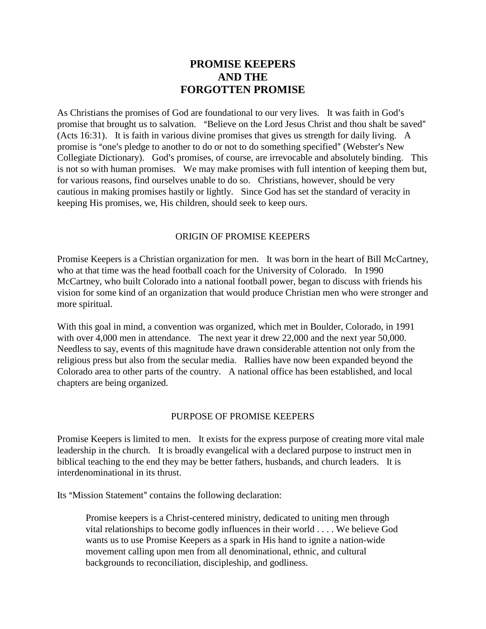# **PROMISE KEEPERS AND THE FORGOTTEN PROMISE**

As Christians the promises of God are foundational to our very lives. It was faith in God's promise that brought us to salvation. "Believe on the Lord Jesus Christ and thou shalt be saved" (Acts 16:31). It is faith in various divine promises that gives us strength for daily living. A promise is "one's pledge to another to do or not to do something specified" (Webster's New Collegiate Dictionary). God's promises, of course, are irrevocable and absolutely binding. This is not so with human promises. We may make promises with full intention of keeping them but, for various reasons, find ourselves unable to do so. Christians, however, should be very cautious in making promises hastily or lightly. Since God has set the standard of veracity in keeping His promises, we, His children, should seek to keep ours.

### ORIGIN OF PROMISE KEEPERS

Promise Keepers is a Christian organization for men. It was born in the heart of Bill McCartney, who at that time was the head football coach for the University of Colorado. In 1990 McCartney, who built Colorado into a national football power, began to discuss with friends his vision for some kind of an organization that would produce Christian men who were stronger and more spiritual.

With this goal in mind, a convention was organized, which met in Boulder, Colorado, in 1991 with over 4,000 men in attendance. The next year it drew 22,000 and the next year 50,000. Needless to say, events of this magnitude have drawn considerable attention not only from the religious press but also from the secular media. Rallies have now been expanded beyond the Colorado area to other parts of the country. A national office has been established, and local chapters are being organized.

## PURPOSE OF PROMISE KEEPERS

Promise Keepers is limited to men. It exists for the express purpose of creating more vital male leadership in the church. It is broadly evangelical with a declared purpose to instruct men in biblical teaching to the end they may be better fathers, husbands, and church leaders. It is interdenominational in its thrust.

Its "Mission Statement" contains the following declaration:

Promise keepers is a Christ-centered ministry, dedicated to uniting men through vital relationships to become godly influences in their world . . . . We believe God wants us to use Promise Keepers as a spark in His hand to ignite a nation-wide movement calling upon men from all denominational, ethnic, and cultural backgrounds to reconciliation, discipleship, and godliness.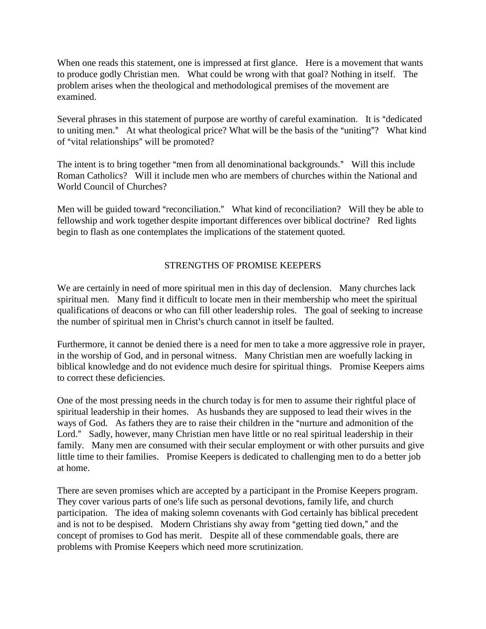When one reads this statement, one is impressed at first glance. Here is a movement that wants to produce godly Christian men. What could be wrong with that goal? Nothing in itself. The problem arises when the theological and methodological premises of the movement are examined.

Several phrases in this statement of purpose are worthy of careful examination. It is "dedicated to uniting men." At what theological price? What will be the basis of the "uniting"? What kind of "vital relationships" will be promoted?

The intent is to bring together "men from all denominational backgrounds." Will this include Roman Catholics? Will it include men who are members of churches within the National and World Council of Churches?

Men will be guided toward "reconciliation." What kind of reconciliation? Will they be able to fellowship and work together despite important differences over biblical doctrine? Red lights begin to flash as one contemplates the implications of the statement quoted.

## STRENGTHS OF PROMISE KEEPERS

We are certainly in need of more spiritual men in this day of declension. Many churches lack spiritual men. Many find it difficult to locate men in their membership who meet the spiritual qualifications of deacons or who can fill other leadership roles. The goal of seeking to increase the number of spiritual men in Christ's church cannot in itself be faulted.

Furthermore, it cannot be denied there is a need for men to take a more aggressive role in prayer, in the worship of God, and in personal witness. Many Christian men are woefully lacking in biblical knowledge and do not evidence much desire for spiritual things. Promise Keepers aims to correct these deficiencies.

One of the most pressing needs in the church today is for men to assume their rightful place of spiritual leadership in their homes. As husbands they are supposed to lead their wives in the ways of God. As fathers they are to raise their children in the "nurture and admonition of the Lord." Sadly, however, many Christian men have little or no real spiritual leadership in their family. Many men are consumed with their secular employment or with other pursuits and give little time to their families. Promise Keepers is dedicated to challenging men to do a better job at home.

There are seven promises which are accepted by a participant in the Promise Keepers program. They cover various parts of one's life such as personal devotions, family life, and church participation. The idea of making solemn covenants with God certainly has biblical precedent and is not to be despised. Modern Christians shy away from "getting tied down," and the concept of promises to God has merit. Despite all of these commendable goals, there are problems with Promise Keepers which need more scrutinization.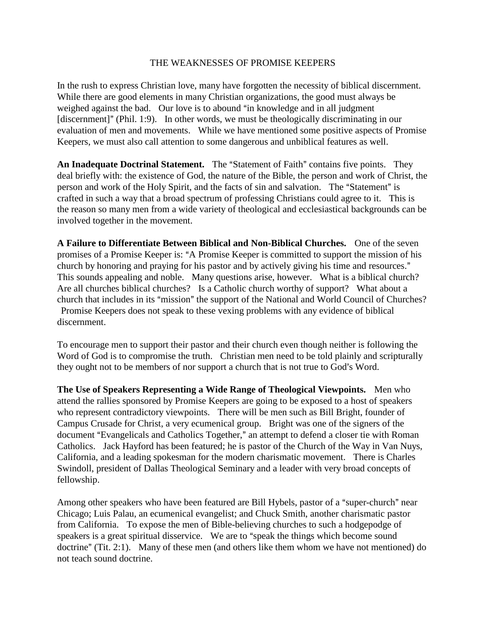#### THE WEAKNESSES OF PROMISE KEEPERS

In the rush to express Christian love, many have forgotten the necessity of biblical discernment. While there are good elements in many Christian organizations, the good must always be weighed against the bad. Our love is to abound "in knowledge and in all judgment"  $[discernment]$ " (Phil. 1:9). In other words, we must be theologically discriminating in our evaluation of men and movements. While we have mentioned some positive aspects of Promise Keepers, we must also call attention to some dangerous and unbiblical features as well.

An Inadequate Doctrinal Statement. The "Statement of Faith" contains five points. They deal briefly with: the existence of God, the nature of the Bible, the person and work of Christ, the person and work of the Holy Spirit, and the facts of sin and salvation. The "Statement" is crafted in such a way that a broad spectrum of professing Christians could agree to it. This is the reason so many men from a wide variety of theological and ecclesiastical backgrounds can be involved together in the movement.

**A Failure to Differentiate Between Biblical and Non-Biblical Churches.** One of the seven promises of a Promise Keeper is: "A Promise Keeper is committed to support the mission of his church by honoring and praying for his pastor and by actively giving his time and resources." This sounds appealing and noble. Many questions arise, however. What is a biblical church? Are all churches biblical churches? Is a Catholic church worthy of support? What about a church that includes in its "mission" the support of the National and World Council of Churches? Promise Keepers does not speak to these vexing problems with any evidence of biblical discernment.

To encourage men to support their pastor and their church even though neither is following the Word of God is to compromise the truth. Christian men need to be told plainly and scripturally they ought not to be members of nor support a church that is not true to God's Word.

**The Use of Speakers Representing a Wide Range of Theological Viewpoints.** Men who attend the rallies sponsored by Promise Keepers are going to be exposed to a host of speakers who represent contradictory viewpoints. There will be men such as Bill Bright, founder of Campus Crusade for Christ, a very ecumenical group. Bright was one of the signers of the document "Evangelicals and Catholics Together," an attempt to defend a closer tie with Roman Catholics. Jack Hayford has been featured; he is pastor of the Church of the Way in Van Nuys, California, and a leading spokesman for the modern charismatic movement. There is Charles Swindoll, president of Dallas Theological Seminary and a leader with very broad concepts of fellowship.

Among other speakers who have been featured are Bill Hybels, pastor of a "super-church" near Chicago; Luis Palau, an ecumenical evangelist; and Chuck Smith, another charismatic pastor from California. To expose the men of Bible-believing churches to such a hodgepodge of speakers is a great spiritual disservice. We are to "speak the things which become sound doctrine" (Tit. 2:1). Many of these men (and others like them whom we have not mentioned) do not teach sound doctrine.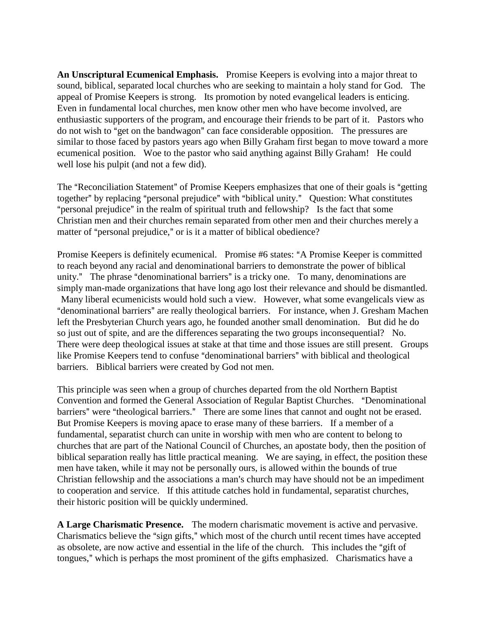**An Unscriptural Ecumenical Emphasis.** Promise Keepers is evolving into a major threat to sound, biblical, separated local churches who are seeking to maintain a holy stand for God. The appeal of Promise Keepers is strong. Its promotion by noted evangelical leaders is enticing. Even in fundamental local churches, men know other men who have become involved, are enthusiastic supporters of the program, and encourage their friends to be part of it. Pastors who do not wish to "get on the bandwagon" can face considerable opposition. The pressures are similar to those faced by pastors years ago when Billy Graham first began to move toward a more ecumenical position. Woe to the pastor who said anything against Billy Graham! He could well lose his pulpit (and not a few did).

The "Reconciliation Statement" of Promise Keepers emphasizes that one of their goals is "getting" together" by replacing "personal prejudice" with "biblical unity." Question: What constitutes "personal prejudice" in the realm of spiritual truth and fellowship? Is the fact that some Christian men and their churches remain separated from other men and their churches merely a matter of "personal prejudice," or is it a matter of biblical obedience?

Promise Keepers is definitely ecumenical. Promise #6 states: "A Promise Keeper is committed to reach beyond any racial and denominational barriers to demonstrate the power of biblical unity." The phrase "denominational barriers" is a tricky one. To many, denominations are simply man-made organizations that have long ago lost their relevance and should be dismantled. Many liberal ecumenicists would hold such a view. However, what some evangelicals view as "denominational barriers" are really theological barriers. For instance, when J. Gresham Machen left the Presbyterian Church years ago, he founded another small denomination. But did he do so just out of spite, and are the differences separating the two groups inconsequential? No. There were deep theological issues at stake at that time and those issues are still present. Groups like Promise Keepers tend to confuse "denominational barriers" with biblical and theological barriers. Biblical barriers were created by God not men.

This principle was seen when a group of churches departed from the old Northern Baptist Convention and formed the General Association of Regular Baptist Churches. "Denominational barriers" were "theological barriers." There are some lines that cannot and ought not be erased. But Promise Keepers is moving apace to erase many of these barriers. If a member of a fundamental, separatist church can unite in worship with men who are content to belong to churches that are part of the National Council of Churches, an apostate body, then the position of biblical separation really has little practical meaning. We are saying, in effect, the position these men have taken, while it may not be personally ours, is allowed within the bounds of true Christian fellowship and the associations a man's church may have should not be an impediment to cooperation and service. If this attitude catches hold in fundamental, separatist churches, their historic position will be quickly undermined.

**A Large Charismatic Presence.** The modern charismatic movement is active and pervasive. Charismatics believe the "sign gifts," which most of the church until recent times have accepted as obsolete, are now active and essential in the life of the church. This includes the "gift of tongues," which is perhaps the most prominent of the gifts emphasized. Charismatics have a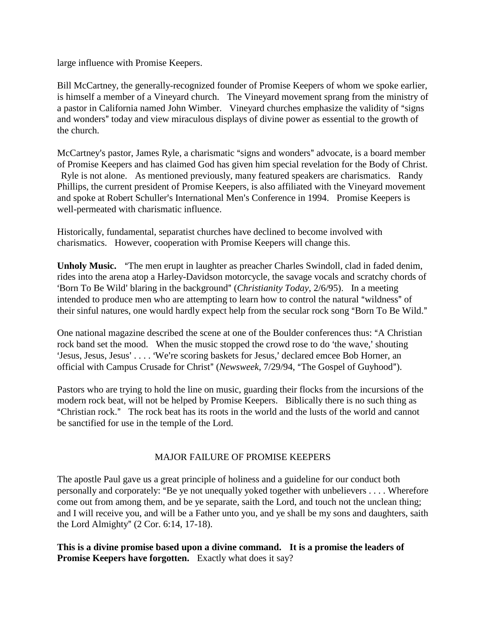large influence with Promise Keepers.

Bill McCartney, the generally-recognized founder of Promise Keepers of whom we spoke earlier, is himself a member of a Vineyard church. The Vineyard movement sprang from the ministry of a pastor in California named John Wimber. Vineyard churches emphasize the validity of "signs" and wonders" today and view miraculous displays of divine power as essential to the growth of the church.

McCartney's pastor, James Ryle, a charismatic "signs and wonders" advocate, is a board member of Promise Keepers and has claimed God has given him special revelation for the Body of Christ. Ryle is not alone. As mentioned previously, many featured speakers are charismatics. Randy Phillips, the current president of Promise Keepers, is also affiliated with the Vineyard movement and spoke at Robert Schuller's International Men's Conference in 1994. Promise Keepers is well-permeated with charismatic influence.

Historically, fundamental, separatist churches have declined to become involved with charismatics. However, cooperation with Promise Keepers will change this.

Unholy Music. "The men erupt in laughter as preacher Charles Swindoll, clad in faded denim, rides into the arena atop a Harley-Davidson motorcycle, the savage vocals and scratchy chords of 'Born To Be Wild' blaring in the background" (*Christianity Today*, 2/6/95). In a meeting intended to produce men who are attempting to learn how to control the natural "wildness" of their sinful natures, one would hardly expect help from the secular rock song "Born To Be Wild."

One national magazine described the scene at one of the Boulder conferences thus: "A Christian rock band set the mood. When the music stopped the crowd rose to do 'the wave,' shouting 'Jesus, Jesus, Jesus' . . . . 'We're scoring baskets for Jesus,' declared emcee Bob Horner, an official with Campus Crusade for Christ" (*Newsweek*, 7/29/94, "The Gospel of Guyhood").

Pastors who are trying to hold the line on music, guarding their flocks from the incursions of the modern rock beat, will not be helped by Promise Keepers. Biblically there is no such thing as "Christian rock." The rock beat has its roots in the world and the lusts of the world and cannot be sanctified for use in the temple of the Lord.

## MAJOR FAILURE OF PROMISE KEEPERS

The apostle Paul gave us a great principle of holiness and a guideline for our conduct both personally and corporately: "Be ye not unequally yoked together with unbelievers . . . . Wherefore come out from among them, and be ye separate, saith the Lord, and touch not the unclean thing; and I will receive you, and will be a Father unto you, and ye shall be my sons and daughters, saith the Lord Almighty"  $(2$  Cor. 6:14, 17-18).

**This is a divine promise based upon a divine command. It is a promise the leaders of Promise Keepers have forgotten.** Exactly what does it say?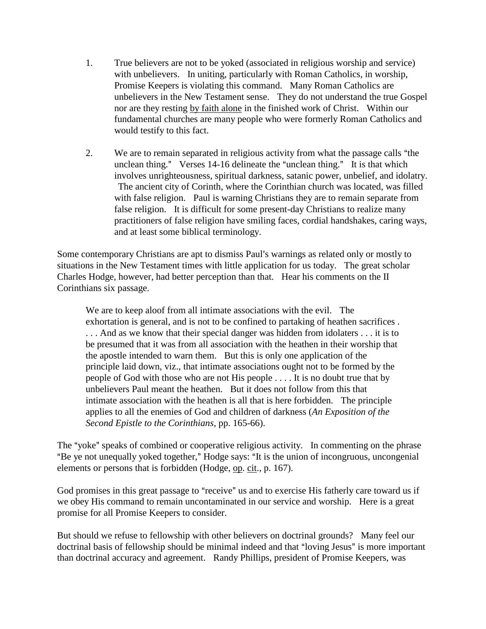- 1. True believers are not to be yoked (associated in religious worship and service) with unbelievers. In uniting, particularly with Roman Catholics, in worship, Promise Keepers is violating this command. Many Roman Catholics are unbelievers in the New Testament sense. They do not understand the true Gospel nor are they resting by faith alone in the finished work of Christ. Within our fundamental churches are many people who were formerly Roman Catholics and would testify to this fact.
- 2. We are to remain separated in religious activity from what the passage calls "the unclean thing." Verses  $14-16$  delineate the "unclean thing." It is that which involves unrighteousness, spiritual darkness, satanic power, unbelief, and idolatry. The ancient city of Corinth, where the Corinthian church was located, was filled with false religion. Paul is warning Christians they are to remain separate from false religion. It is difficult for some present-day Christians to realize many practitioners of false religion have smiling faces, cordial handshakes, caring ways, and at least some biblical terminology.

Some contemporary Christians are apt to dismiss Paul's warnings as related only or mostly to situations in the New Testament times with little application for us today. The great scholar Charles Hodge, however, had better perception than that. Hear his comments on the II Corinthians six passage.

We are to keep aloof from all intimate associations with the evil. The exhortation is general, and is not to be confined to partaking of heathen sacrifices . . . . And as we know that their special danger was hidden from idolaters . . . it is to be presumed that it was from all association with the heathen in their worship that the apostle intended to warn them. But this is only one application of the principle laid down, viz., that intimate associations ought not to be formed by the people of God with those who are not His people . . . . It is no doubt true that by unbelievers Paul meant the heathen. But it does not follow from this that intimate association with the heathen is all that is here forbidden. The principle applies to all the enemies of God and children of darkness (*An Exposition of the Second Epistle to the Corinthians*, pp. 165-66).

The "yoke" speaks of combined or cooperative religious activity. In commenting on the phrase "Be ye not unequally yoked together," Hodge says: "It is the union of incongruous, uncongenial elements or persons that is forbidden (Hodge, op. cit., p. 167).

God promises in this great passage to "receive" us and to exercise His fatherly care toward us if we obey His command to remain uncontaminated in our service and worship. Here is a great promise for all Promise Keepers to consider.

But should we refuse to fellowship with other believers on doctrinal grounds? Many feel our doctrinal basis of fellowship should be minimal indeed and that "loving Jesus" is more important than doctrinal accuracy and agreement. Randy Phillips, president of Promise Keepers, was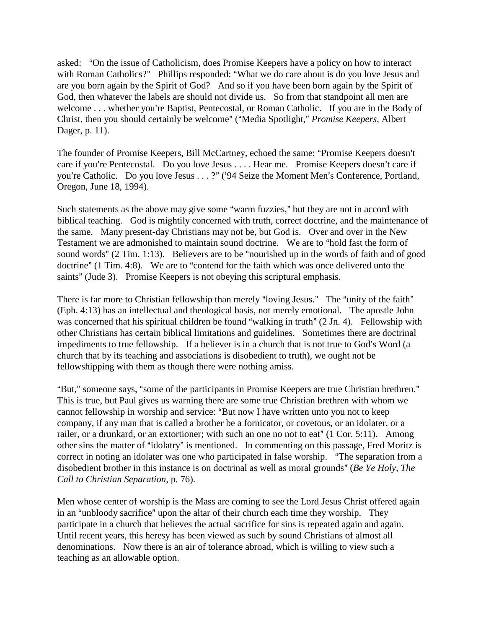asked: "On the issue of Catholicism, does Promise Keepers have a policy on how to interact with Roman Catholics?" Phillips responded: "What we do care about is do you love Jesus and are you born again by the Spirit of God? And so if you have been born again by the Spirit of God, then whatever the labels are should not divide us. So from that standpoint all men are welcome . . . whether you're Baptist, Pentecostal, or Roman Catholic. If you are in the Body of Christ, then you should certainly be welcome" ("Media Spotlight," Promise Keepers, Albert Dager, p. 11).

The founder of Promise Keepers, Bill McCartney, echoed the same: "Promise Keepers doesn't care if you're Pentecostal. Do you love Jesus . . . . Hear me. Promise Keepers doesn't care if you're Catholic. Do you love Jesus . . . ?" ('94 Seize the Moment Men's Conference, Portland, Oregon, June 18, 1994).

Such statements as the above may give some "warm fuzzies," but they are not in accord with biblical teaching. God is mightily concerned with truth, correct doctrine, and the maintenance of the same. Many present-day Christians may not be, but God is. Over and over in the New Testament we are admonished to maintain sound doctrine. We are to "hold fast the form of sound words"  $(2 \text{ Tim. } 1:13)$ . Believers are to be "nourished up in the words of faith and of good doctrine"  $(1 \text{ Tim. } 4:8)$ . We are to "contend for the faith which was once delivered unto the saints" (Jude 3). Promise Keepers is not obeying this scriptural emphasis.

There is far more to Christian fellowship than merely "loving Jesus." The "unity of the faith" (Eph. 4:13) has an intellectual and theological basis, not merely emotional. The apostle John was concerned that his spiritual children be found "walking in truth"  $(2 \text{ Jn. 4})$ . Fellowship with other Christians has certain biblical limitations and guidelines. Sometimes there are doctrinal impediments to true fellowship. If a believer is in a church that is not true to God's Word (a church that by its teaching and associations is disobedient to truth), we ought not be fellowshipping with them as though there were nothing amiss.

"But," someone says, "some of the participants in Promise Keepers are true Christian brethren." This is true, but Paul gives us warning there are some true Christian brethren with whom we cannot fellowship in worship and service: "But now I have written unto you not to keep company, if any man that is called a brother be a fornicator, or covetous, or an idolater, or a railer, or a drunkard, or an extortioner; with such an one no not to eat"  $(1 \text{ Cor. } 5:11)$ . Among other sins the matter of "idolatry" is mentioned. In commenting on this passage, Fred Moritz is correct in noting an idolater was one who participated in false worship. "The separation from a disobedient brother in this instance is on doctrinal as well as moral grounds" (*Be Ye Holy, The Call to Christian Separation*, p. 76).

Men whose center of worship is the Mass are coming to see the Lord Jesus Christ offered again in an "unbloody sacrifice" upon the altar of their church each time they worship. They participate in a church that believes the actual sacrifice for sins is repeated again and again. Until recent years, this heresy has been viewed as such by sound Christians of almost all denominations. Now there is an air of tolerance abroad, which is willing to view such a teaching as an allowable option.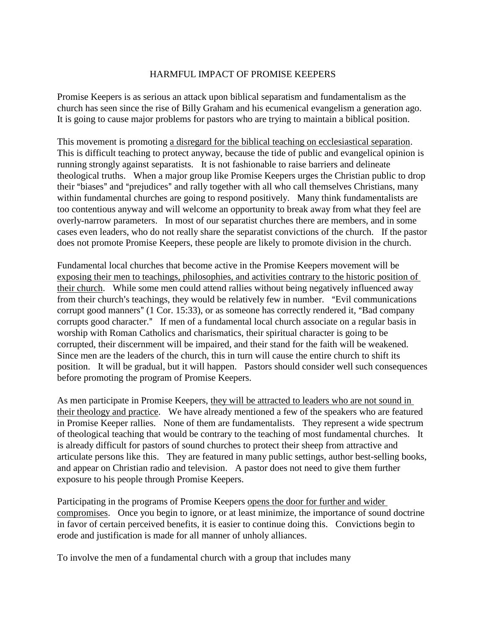## HARMFUL IMPACT OF PROMISE KEEPERS

Promise Keepers is as serious an attack upon biblical separatism and fundamentalism as the church has seen since the rise of Billy Graham and his ecumenical evangelism a generation ago. It is going to cause major problems for pastors who are trying to maintain a biblical position.

This movement is promoting a disregard for the biblical teaching on ecclesiastical separation. This is difficult teaching to protect anyway, because the tide of public and evangelical opinion is running strongly against separatists. It is not fashionable to raise barriers and delineate theological truths. When a major group like Promise Keepers urges the Christian public to drop their "biases" and "prejudices" and rally together with all who call themselves Christians, many within fundamental churches are going to respond positively. Many think fundamentalists are too contentious anyway and will welcome an opportunity to break away from what they feel are overly-narrow parameters. In most of our separatist churches there are members, and in some cases even leaders, who do not really share the separatist convictions of the church. If the pastor does not promote Promise Keepers, these people are likely to promote division in the church.

Fundamental local churches that become active in the Promise Keepers movement will be exposing their men to teachings, philosophies, and activities contrary to the historic position of their church. While some men could attend rallies without being negatively influenced away from their church's teachings, they would be relatively few in number. "Evil communications" corrupt good manners"  $(1 \text{ Cor. } 15:33)$ , or as someone has correctly rendered it, "Bad company corrupts good character." If men of a fundamental local church associate on a regular basis in worship with Roman Catholics and charismatics, their spiritual character is going to be corrupted, their discernment will be impaired, and their stand for the faith will be weakened. Since men are the leaders of the church, this in turn will cause the entire church to shift its position. It will be gradual, but it will happen. Pastors should consider well such consequences before promoting the program of Promise Keepers.

As men participate in Promise Keepers, they will be attracted to leaders who are not sound in their theology and practice. We have already mentioned a few of the speakers who are featured in Promise Keeper rallies. None of them are fundamentalists. They represent a wide spectrum of theological teaching that would be contrary to the teaching of most fundamental churches. It is already difficult for pastors of sound churches to protect their sheep from attractive and articulate persons like this. They are featured in many public settings, author best-selling books, and appear on Christian radio and television. A pastor does not need to give them further exposure to his people through Promise Keepers.

Participating in the programs of Promise Keepers opens the door for further and wider compromises. Once you begin to ignore, or at least minimize, the importance of sound doctrine in favor of certain perceived benefits, it is easier to continue doing this. Convictions begin to erode and justification is made for all manner of unholy alliances.

To involve the men of a fundamental church with a group that includes many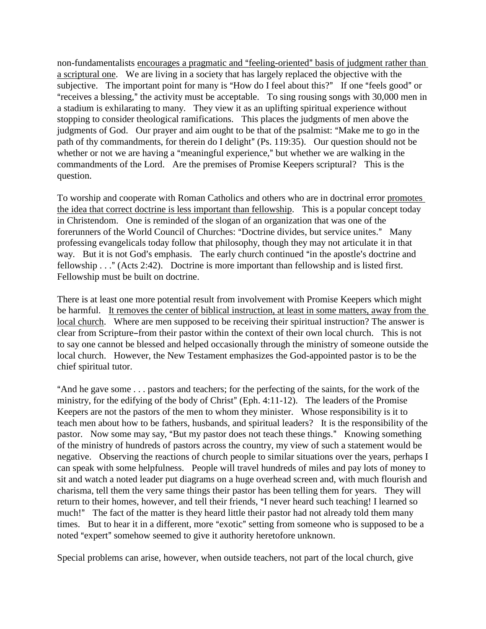non-fundamentalists encourages a pragmatic and "feeling-oriented" basis of judgment rather than a scriptural one. We are living in a society that has largely replaced the objective with the subjective. The important point for many is "How do I feel about this?" If one "feels good" or "receives a blessing," the activity must be acceptable. To sing rousing songs with 30,000 men in a stadium is exhilarating to many. They view it as an uplifting spiritual experience without stopping to consider theological ramifications. This places the judgments of men above the judgments of God. Our prayer and aim ought to be that of the psalmist: "Make me to go in the path of thy commandments, for therein do I delight" (Ps. 119:35). Our question should not be whether or not we are having a "meaningful experience," but whether we are walking in the commandments of the Lord. Are the premises of Promise Keepers scriptural? This is the question.

To worship and cooperate with Roman Catholics and others who are in doctrinal error promotes the idea that correct doctrine is less important than fellowship. This is a popular concept today in Christendom. One is reminded of the slogan of an organization that was one of the forerunners of the World Council of Churches: "Doctrine divides, but service unites." Many professing evangelicals today follow that philosophy, though they may not articulate it in that way. But it is not God's emphasis. The early church continued "in the apostle's doctrine and fellowship  $\ldots$  " (Acts 2:42). Doctrine is more important than fellowship and is listed first. Fellowship must be built on doctrine.

There is at least one more potential result from involvement with Promise Keepers which might be harmful. It removes the center of biblical instruction, at least in some matters, away from the local church. Where are men supposed to be receiving their spiritual instruction? The answer is clear from Scripture–from their pastor within the context of their own local church. This is not to say one cannot be blessed and helped occasionally through the ministry of someone outside the local church. However, the New Testament emphasizes the God-appointed pastor is to be the chief spiritual tutor.

"And he gave some . . . pastors and teachers; for the perfecting of the saints, for the work of the ministry, for the edifying of the body of Christ" (Eph. 4:11-12). The leaders of the Promise Keepers are not the pastors of the men to whom they minister. Whose responsibility is it to teach men about how to be fathers, husbands, and spiritual leaders? It is the responsibility of the pastor. Now some may say, "But my pastor does not teach these things." Knowing something of the ministry of hundreds of pastors across the country, my view of such a statement would be negative. Observing the reactions of church people to similar situations over the years, perhaps I can speak with some helpfulness. People will travel hundreds of miles and pay lots of money to sit and watch a noted leader put diagrams on a huge overhead screen and, with much flourish and charisma, tell them the very same things their pastor has been telling them for years. They will return to their homes, however, and tell their friends, "I never heard such teaching! I learned so much!" The fact of the matter is they heard little their pastor had not already told them many times. But to hear it in a different, more "exotic" setting from someone who is supposed to be a noted "expert" somehow seemed to give it authority heretofore unknown.

Special problems can arise, however, when outside teachers, not part of the local church, give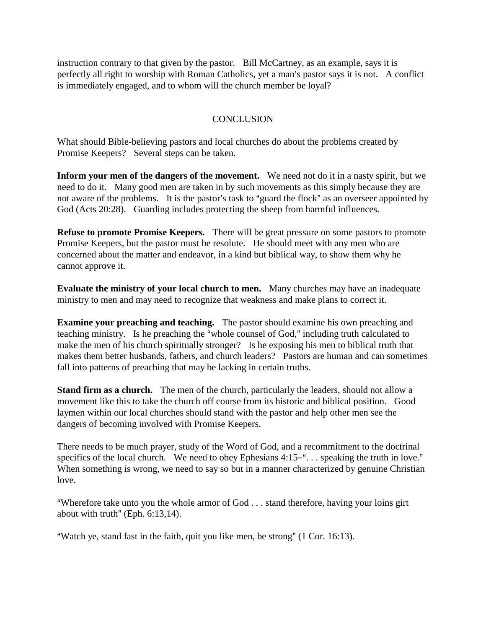instruction contrary to that given by the pastor. Bill McCartney, as an example, says it is perfectly all right to worship with Roman Catholics, yet a man's pastor says it is not. A conflict is immediately engaged, and to whom will the church member be loyal?

## **CONCLUSION**

What should Bible-believing pastors and local churches do about the problems created by Promise Keepers? Several steps can be taken.

**Inform your men of the dangers of the movement.** We need not do it in a nasty spirit, but we need to do it. Many good men are taken in by such movements as this simply because they are not aware of the problems. It is the pastor's task to "guard the flock" as an overseer appointed by God (Acts 20:28). Guarding includes protecting the sheep from harmful influences.

**Refuse to promote Promise Keepers.** There will be great pressure on some pastors to promote Promise Keepers, but the pastor must be resolute. He should meet with any men who are concerned about the matter and endeavor, in a kind but biblical way, to show them why he cannot approve it.

**Evaluate the ministry of your local church to men.** Many churches may have an inadequate ministry to men and may need to recognize that weakness and make plans to correct it.

**Examine your preaching and teaching.** The pastor should examine his own preaching and teaching ministry. Is he preaching the "whole counsel of God," including truth calculated to make the men of his church spiritually stronger? Is he exposing his men to biblical truth that makes them better husbands, fathers, and church leaders? Pastors are human and can sometimes fall into patterns of preaching that may be lacking in certain truths.

**Stand firm as a church.** The men of the church, particularly the leaders, should not allow a movement like this to take the church off course from its historic and biblical position. Good laymen within our local churches should stand with the pastor and help other men see the dangers of becoming involved with Promise Keepers.

There needs to be much prayer, study of the Word of God, and a recommitment to the doctrinal specifics of the local church. We need to obey Ephesians  $4:15-\dots$  speaking the truth in love." When something is wrong, we need to say so but in a manner characterized by genuine Christian love.

"Wherefore take unto you the whole armor of  $God \dots$  stand therefore, having your loins girt about with truth" (Eph.  $6:13,14$ ).

"Watch ye, stand fast in the faith, quit you like men, be strong"  $(1 \text{ Cor. } 16:13)$ .